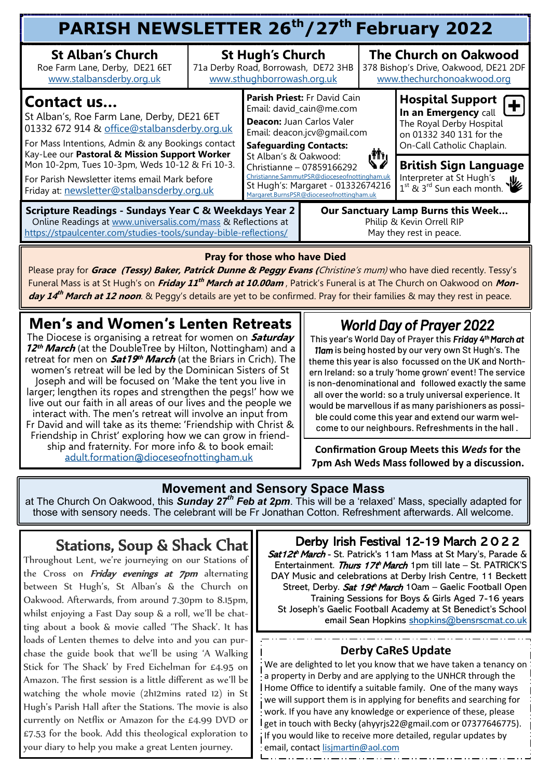| PARISH NEWSLETTER 26 <sup>th</sup> /27 <sup>th</sup> February 2022                                                                                                                                                                                                                                                                                              |                                                                                              |                                                                                                                                                                                                                                                                                                                                              |  |                                                                                                     |                                                                                                                                       |  |  |  |  |
|-----------------------------------------------------------------------------------------------------------------------------------------------------------------------------------------------------------------------------------------------------------------------------------------------------------------------------------------------------------------|----------------------------------------------------------------------------------------------|----------------------------------------------------------------------------------------------------------------------------------------------------------------------------------------------------------------------------------------------------------------------------------------------------------------------------------------------|--|-----------------------------------------------------------------------------------------------------|---------------------------------------------------------------------------------------------------------------------------------------|--|--|--|--|
| <b>St Alban's Church</b><br>Roe Farm Lane, Derby, DE21 6ET<br>www.stalbansderby.org.uk                                                                                                                                                                                                                                                                          | <b>St Hugh's Church</b><br>71a Derby Road, Borrowash, DE72 3HB<br>www.sthughborrowash.org.uk |                                                                                                                                                                                                                                                                                                                                              |  | <b>The Church on Oakwood</b><br>378 Bishop's Drive, Oakwood, DE21 2DF<br>www.thechurchonoakwood.org |                                                                                                                                       |  |  |  |  |
| Contact us<br>St Alban's, Roe Farm Lane, Derby, DE21 6ET<br>01332 672 914 & office@stalbansderby.org.uk<br>For Mass Intentions, Admin & any Bookings contact<br>Kay-Lee our Pastoral & Mission Support Worker<br>Mon 10-2pm, Tues 10-3pm, Weds 10-12 & Fri 10-3.<br>For Parish Newsletter items email Mark before<br>Friday at: newsletter@stalbansderby.org.uk |                                                                                              | Parish Priest: Fr David Cain<br>Email: david_cain@me.com<br>Deacon: Juan Carlos Valer<br>Email: deacon.jcv@gmail.com<br><b>Safeguarding Contacts:</b><br>St Alban's & Oakwood:<br>Christianne - 07859166292<br>Christianne.SammutPSR@dioceseofnottingham.uk<br>St Hugh's: Margaret - 01332674216<br>Margaret.BurnsPSR@dioceseofnottingham.uk |  |                                                                                                     | <b>Hospital Support</b><br>In an Emergency call<br>The Royal Derby Hospital<br>on 01332 340 131 for the<br>On-Call Catholic Chaplain. |  |  |  |  |
|                                                                                                                                                                                                                                                                                                                                                                 |                                                                                              |                                                                                                                                                                                                                                                                                                                                              |  | رش                                                                                                  | <b>British Sign Language</b><br>Interpreter at St Hugh's<br>$1^{st}$ & $3^{rd}$ Sun each month.                                       |  |  |  |  |
| <b>Scripture Readings - Sundays Year C &amp; Weekdays Year 2</b><br>Our Sanctuary Lamp Burns this Week<br>Online Readings at www.universalis.com/mass & Reflections at<br>Philip & Kevin Orrell RIP<br>https://stpaulcenter.com/studies-tools/sunday-bible-reflections/<br>May they rest in peace.                                                              |                                                                                              |                                                                                                                                                                                                                                                                                                                                              |  |                                                                                                     |                                                                                                                                       |  |  |  |  |

#### **Pray for those who have Died**

Please pray for **Grace (Tessy) Baker, Patrick Dunne & Peggy Evans (**Christine's mum) who have died recently. Tessy's Funeral Mass is at St Hugh's on **Friday 11 th March at 10.00am** , Patrick's Funeral is at The Church on Oakwood on **Mon***day 14<sup>th</sup> March at 12 noon*. & Peggy's details are yet to be confirmed. Pray for their families & may they rest in peace.

## **Men's and Women's Lenten Retreats**

The Diocese is organising a retreat for women on **Saturday 12 th March** (at the DoubleTree by Hilton, Nottingham) and a retreat for men on **Sat19 th March** (at the Briars in Crich). The women's retreat will be led by the Dominican Sisters of St Joseph and will be focused on 'Make the tent you live in larger; lengthen its ropes and strengthen the pegs!' how we live out our faith in all areas of our lives and the people we interact with. The men's retreat will involve an input from Fr David and will take as its theme: 'Friendship with Christ & Friendship in Christ' exploring how we can grow in friendship and fraternity. For more info & to book email: [adult.formation@dioceseofnottingham.uk](mailto:adult.formation@dioceseofnottingham.uk)

# *World Day of Prayer 2022*

This year's World Day of Prayer this *Friday 4th March at 11am* is being hosted by our very own St Hugh's. The theme this year is also focussed on the UK and Northern Ireland: so a truly 'home grown' event! The service is non-denominational and followed exactly the same all over the world: so a truly universal experience. It would be marvellous if as many parishioners as possible could come this year and extend our warm welcome to our neighbours. Refreshments in the hall .

**Confirmation Group Meets this** *Weds* **for the 7pm Ash Weds Mass followed by a discussion.**

#### **Movement and Sensory Space Mass**

at The Church On Oakwood, this *Sunday 27th Feb at 2pm*. This will be a 'relaxed' Mass, specially adapted for those with sensory needs. The celebrant will be Fr Jonathan Cotton. Refreshment afterwards. All welcome.

## Stations, Soup & Shack Chat

Throughout Lent, we're journeying on our Stations of the Cross on *Friday evenings at 7pm* alternating between St Hugh's, St Alban's & the Church on Oakwood. Afterwards, from around 7.30pm to 8.15pm, whilst enjoying a Fast Day soup & a roll, we'll be chatting about a book & movie called 'The Shack'. It has loads of Lenten themes to delve into and you can purchase the guide book that we'll be using 'A Walking Stick for The Shack' by Fred Eichelman for £4.95 on Amazon. The first session is a little different as we'll be watching the whole movie (2h12mins rated 12) in St Hugh's Parish Hall after the Stations. The movie is also currently on Netflix or Amazon for the £4.99 DVD or £7.53 for the book. Add this theological exploration to your diary to help you make a great Lenten journey.

#### Derby Irish Festival 12-19 March 2 0 2 2

Sat12t<sup>h</sup> March - St. Patrick's 11am Mass at St Mary's, Parade & Entertainment. Thurs 17th March 1pm till late - St. PATRICK'S DAY Music and celebrations at Derby Irish Centre, 11 Beckett Street, Derby. *Sat 19t<sup>h</sup> March* 10am – Gaelic Football Open Training Sessions for Boys & Girls Aged 7-16 years St Joseph's Gaelic Football Academy at St Benedict's School email Sean Hopkins [shopkins@bensrscmat.co.uk](mailto:shopkins@bensrscmat.co.uk)

#### **Derby CaReS Update**

We are delighted to let you know that we have taken a tenancy on a property in Derby and are applying to the UNHCR through the Home Office to identify a suitable family. One of the many ways we will support them is in applying for benefits and searching for work. If you have any knowledge or experience of these, please get in touch with Becky (ahyyrjs22@gmail.com or 07377646775). if you would like to receive more detailed, regular updates by email, contact [lisjmartin@aol.com](mailto:lisjmartin@aol.com)